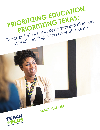

**TEACHPLUS.ORG**

PRIORITIZING EDUCATION,

**PRIORITIZING TEXAS:**

Teachers' Views and Recommendations on

School Funding in the Lone Star State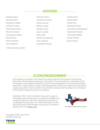## +++++++++++++++ **AUTHORS** +++++++++++++++

Angela Burke\* Nicole Burton\* Geoffrey Carlisle\* Anthony Castro Nathaniel DuPont Plácido Gómez\* Christopher Green Kendra Hart Taylor Hawkins Amy Hestilow\*

\* Denotes lead author

Veronica Hicks Tameka Holcomb JoLisa Hoover Brittany Jones Morgan Latin Laura Laywell Dora Leija Kristian Lenderman Mary Malone Shareefah Mason

Amber Neal Sarah Perez\* Mario Piña Fernanda Pierre José Manuel Rodríguez\* Stephanie Stoebe Shontoria Walker Monica White Dana Wrann

## +++++++++++++++ **ACKNOWLEDGEMENT** +++++++++++++++

The research included in this report was produced with the support of the Texas Education Grantmakers Advocacy Consortium. The Consortium is comprised of 48 foundations and philanthropists from across Texas interested in ensuring that parents, educators, policymakers, media, and the general public have objective data about public education. The Consortium has strived to ensure that the research contained in this report is objective and non-partisan.

Created in 2011, the Consortium focuses its work on leveraging private resources to produce credible and necessary data on the most important educational challenges facing Texas. For more information on the Texas Education Grantmakers Advocacy Consortium please visit www[.tegac.org.](http://tegac.org.)



**Texas Education Grantmakers Advocacy Consortium** 

Copyright 2018, Teach Plus All rights reserved

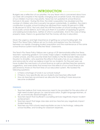## +++++++++++++++ **INTRODUCTION** +++++++++++++++

Budgets are a reflection of our priorities. For any Texan who is concerned about how our state will compete in the rapidly changing and uncertain future, the education of our children must be a top priority. Texas has not updated its school finance formula in 34 years.<sup>1</sup> During this time, the state's population has doubled and the number of children who live in poverty has grown substantially. In addition, the state's contribution to public school funding has declined from nearly 50 percent in 2008 to 38 percent in 2016.<sup>2</sup> Not only does this shift the burden of school funding onto the local public school districts, but it also puts them in a position of applying for grants and seeking bond elections, neither of which is sustainable. And in the case of rising property taxes, there is no guarantee that the money will stay in education.

Given the urgency and high importance of getting our school funding right, the Teach Plus Texas Policy Fellows set out to study and explore how the mismatch between our rapidly changing student population and the maintenance of the same school finance system have affected Texas' classrooms.

The Teach Plus Texas Policy Fellows are a group of 29 demonstrably-effective Texas teachers—spanning grades K-12 in every major subject, traditional district and public charter schools, and the Lone Star State from Dallas to the Rio Grande Valley and Houston to Amarillo—who examine the effects that policy has on our classrooms and advocate for what we believe is best for our students. For the past year, we have studied the mechanics of school finance as well as solicited teacher opinions, suggestions, and anecdotes that reveal how the effects of our school finance are perceived by those on the front lines of our education system. We tackled the following questions:

- 1. Is there a shortage of funds in our schools today?
- 2. If there is, how specifically are our students and teachers affected?
- 3. How do teachers recommend we allocate the funding if more resources become available?

### **FINDINGS**

- 1. Teachers believe that more resources need to be provided for the education of high-need student groups (i.e. special education, English language learners, at risk, economically disadvantaged, etc.).
- 2. Teachers report that insufficient counseling services negatively impact student achievement.
- 3. Teachers report that large class sizes and low teacher pay negatively impact student learning.
- 4. Teachers say that schools need equitable access to technology, adequate school facilities, and funding for classroom expenses.

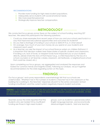#### **RECOMMENDATIONS**

- 1. Provide more funding for high-need student populations.
- 2. Adequately serve students with social-emotional needs.
- 3. Hire more essential personnel.
- 4. Strategically improve teacher compensation.

# +++++++++++ **METHODOLOGY** +++++++++++

We conducted focus groups across Texas on the subject of school funding, reaching 227 teachers. We asked the participants the following questions:

- 1. Could you share examples from recent years of how you and your school used funds in a way that improved educational opportunities and outcomes for students?
- 2. Do you feel a shortage of funding in your school or district? If so, in what areas?
- 3. On average, how much of your own money do you spend on your students and classroom each year?
- 4. As a teacher, you see the impact of our school finance system on children firsthand. It is important that decision makers hear these stories of specific students and classrooms. If funding cuts, lack of funds, or misspent funds have impacted you or your students directly, please share the story of that impact (e.g., a child impacted by the loss of a school counselor or art teacher, a leaky classroom, old textbooks, a neighborhood school that could be closed, etc.)

Upon completing our focus groups, we aggregated and analyzed the responses and looked for common trends and insightful stories. Following our analysis, we put together recommendations for the state regarding action on this topic.

## +++++++++++ **FINDINGS** +++++++++++

Our focus groups' and survey respondents overwhelmingly felt that our schools are underfunded. Whether it be in the number of students a teacher has in her classroom or the building he is working in, the teachers' responses all point to the same conclusion: School funding is insufficient, and the current system negatively impacts student outcomes.

**FINDING 1:** TEACHERS BELIEVE THAT MORE RESOURCES NEED TO BE PROVIDED FOR THE EDUCATION OF HIGH-NEED STUDENT GROUPS (I.E. SPECIAL EDUCATION, ENGLISH LANGUAGE LEARNERS, AT RISK, ECONOMICALLY DISADVANTAGED, ETC.)

Teachers across the state reported that the students who are hardest hit by insufficient funding are those in high-need student

groups, such as students in special education, English language learners, and economically disadvantaged students. Said one teacher,

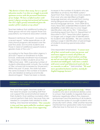*"My district is better than many, but as a special education teacher I see that we struggle to provide optimum services with the personnel limitations of our budget. We have certified teachers with master's degrees earning instructional aid incomes. Our ELL staff is grossly outnumbered given the number of ELL students at my school."*

Teachers believe that additional funding for these groups will not only support those subpopulations, but improve education overall.

Research reinforces this point. According to a recent report, "while expenditures on all instructional programs decreased over the past five years, low-income students and those in need of additional supports bore a greater share of the cuts." 3

According to the Texas Education Agency's 2016-2017 report on Enrollment to Public Schools, statewide enrollment has increased by more than 2 million students since the 1988 school year. With a growing number of students attending public schools, the number of Title I schools has increased by 24 percent.<sup>4</sup> Within the past 10 years, the state has seen the same increase in the number of students who are labeled as being economically disadvantaged.5 There has been a steady

increase in the number of students who are identified as at-risk by the PEIMS system.<sup>6</sup> Apart from that, there are now more students than ever who are identified as English language learners who benefit from having strong bilingual education and English as second language services. From 2004-2016, many Texas ISDs underidentified students with disabilities under IDEA due to a low target identification rate set by TEA.<sup>7</sup> Following a monitoring report from the U.S. Department of Education in 2017, Texas Education Agency no longer uses a target rate of identification for students with disabilities. We are currently seeing a surge in identification of percentage of students receiving special education services.

One respondent emphasised, *"I cannot meet all of their varied needs as just one person, and need more support to ensure all of them are successful (our most critical students catching up and our most high achieving students being enriched and challenged). I also have a student with severe social and behavioral needs who has no counselor to talk to."* Said another, *"We need more specialists/inclusion teachers, mainly for English language learners."*

### **FINDING 2:** TEACHERS REPORT THAT INSUFFICIENT COUNSELING SERVICES NEGATIVELY IMPACT STUDENT ACHIEVEMENT.

Time and time again, teachers spoke of the need for proper counseling staff that can support the social emotional needs of their students. Even existing counselors often cannot perform their duty, because they are needed to complete tasks related to state testing. One teacher remarked, *"Our counselor is time and time again pulled for academic support like STAAR and other areas versus supporting* 

*our struggling kids that need extra help."* When students who are in emotional distress come to school, their inability to regulate their own behavior negatively affects the classroom environment and the learning of all students. One teacher spoke of younger students who physically harm others, while another teacher mentioned how graduation rates have been affected due to the lack of a counselor.

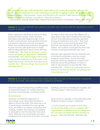*One of my students, who I will call Maribel, could really use the services of a counselor right now. Her mother was released from prison at the end of January, and she's struggling to adjust. This is affecting her academic progress. Unfortunately, I cannot send Maribel to the counselor's office because he is busy being the special education, dyslexia, and Gifted & Talented coordinator.*

— San Antonio teacher Sarah Perez, before the School Finance Commission, March 19th, 2018

### **FINDING 3:** TEACHERS REPORT THAT LARGE CLASS SIZES AND LOW TEACHER PAY NEGATIVELY IMPACT STUDENT LEARNING.

When asked how the level of school funding impacted their schools, many teachers described class sizes large enough to limit student achievement, and reported that low pay leads to teacher turnover and deters others from entering the profession altogether. In some schools, principals have to make difficult hiring decisions about what will harm children less. *"My school can hire only a certain number of teachers per department,"* explained one teacher. *"Our school struggles with reading so they decided to allocate one math teacher to the English department, leaving the math department a teacher short. This leaves larger class sizes for the math department."*

On April 6, 2018, the local CBS affiliate ran a story about class sizes in Odessa Permian High School. One precalculus teacher reported having 63 students in one class.8 They had to pull in extra chairs and share desks. The teacher calculated that with 50-minute classes, the students would get less than one minute of individual attention per class.

Teachers also reported that low teacher pay is hurting the profession—and as a result, students across Texas. Across the state, teachers cited low salaries as a reason that teachers leave the profession or have to take on second jobs to pay the bills. Said one teacher: *"Teachers are underpaid and our salaries do not keep up with the cost of living and rising insurance costs."*

#### **FINDING 4:** TEACHERS SAY THAT SCHOOLS NEED EQUITABLE ACCESS TO TECHNOLOGY, ADEQUATE SCHOOL FACILITIES, AND FUNDING FOR CLASSROOM EXPENSES.

Teachers report that learning conditions have an important impact on student learning. And lack of technology, crumbing school

#### *TECHNOLOGY*

Teachers consistently raised lack of technology as an educational barrier in districts across the state. The state has a set of technology standards for every grade level, yet there is no means of ensuring that working, modern technology is accessible to all students and the teachers that serve them. With the way technology has been integrated into every part of society, not every buildings, and lack of funding for supplies, are hurting students' chances for success.

Texas school is capable of fully preparing their students for jobs in today's workforce.

*"I teach an Exploring Computer Science class, but do not have daily access to a computer lab. I requested that I could have access to a laptop cart, but it has been six months and there has been no progress,"* said one teacher. Teachers also

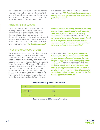mentioned how with extra funds, the school was able to purchase updated equipment and software. One teacher mentioned using her own money to purchase an intervention software for her students to use in the

### *ADEQUATE SCHOOL FACILITIES*

Many teachers spoke of the state of the buildings where they teach. They cited crumbing walls, leaking roofs, and even the fear of exposing themselves or their students to asbestos. In these classrooms and schools, inadequate facilities also create an environment that is not suitable to learning. One teacher wrote, *"Our building constantly* 

#### *FUNDING FOR CLASSROOM EXPENSES*

For Texas teachers, larger class sizes not only means having to give each student less individual time, but it also means that they need to spend more money from their own paychecks to serve these additional students. In our focus groups, 81 percent of teachers reported that they spend \$300 or more per year on supplies for their classrooms and 27 percent of teachers reported spending \$1,000 or more each year. Of the teachers we surveyed, the average reported out-ofpocket expense was almost \$700 per year.9

classroom and at home. Another teacher commented, *"We have basically zero technology in early childhood, yet this is an area where we are graded on T-TESS."*

*has leaks, holes in the ceilings, broken AC/Heating systems, broken plumbing, and overall unsanitary conditions to promote a conducive learning environment."* Another teacher stated, *"The carpet is well worn, and a few years ago, we found mold in large areas, under the carpet, in some classrooms and the school gym. Yet, we were told there were no funds to take care of this."* 

Said one teacher, *"I teach pre-K and for the past five years, I have spent in excess of \$1,000 per year on my students and classroom for basic things like supplies and new and engaging center materials."* Another teacher reported, *"We don't have enough books in our classrooms and literacy library for diverse learners. The books in our literacy library are out of date. The textbooks are outdated and do not meet rigor of STAAR, but we can't afford sources that do."*

| Up to \$299 | 19% |
|-------------|-----|
| $$300-$999$ | 53% |
| $$1,000+$   | 27% |

#### **What Teachers Spend Out-of-Pocket**

*Does not add up to 100% because of rounding.*

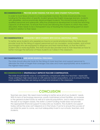#### **RECOMMENDATION 1: PROVIDE MORE FUNDING FOR HIGH-NEED STUDENT POPULATIONS.**

In order to fund Texas schools in a more equitable manner, the state should provide more funding for the education of specific student groups like English language learners, students with disabilities, and economically disadvantaged students. This should include funding for qualified personnel and adequate, effective professional development to build the teaching capacity of all teachers. To ensure that funds are following the students to which they were allocated, there needs to be a transparent way of tracking the money being spent on each student in relation to their need.

### **RECOMMENDATION 2: ADEQUATELY SERVE STUDENTS WITH SOCIAL-EMOTIONAL NEEDS.**

To better serve students who experience trauma or social emotional stress, the state should provide funds for the hiring of support personnel such as counselors, social workers, and school psychologists who are equipped to diagnose and treat mental illness, so that the staff-tostudent ratio is more equitable. The state should also provide funds to train teachers on how to better manage the behavior of these students as it arises in the classroom.

#### **RECOMMENDATION 3: HIRE MORE ESSENTIAL PERSONNEL.**

The state should allocate funds for the hiring of more teachers and support personnel to alleviate the strain of larger-than-average class sizes and more appropriately serve students in the highest-need areas.

### **RECOMMENDATION 4: STRATEGICALLY IMPROVE TEACHER COMPENSATION.**

The state should identify ways to competitively compensate effective teachers—especially those working in high-need areas or with special student populations, so as to ensure that the most qualified teachers are being recruited and retained in the classroom.

## +++++++++++++++++ **CONCLUSION** +++++++++++++++++

Teachers are clear: We need more funding to better serve all of our students' needs. With its lack of technology resources, poorly maintained school facilities, an increase in the general student body as well as in special populations, and a need to reduce the size of our largest classes, the state's current funding model does not provide the appropriate financial support to educate our students. The students we support today will be the ones we'll depend on in the future. If we're to ensure the success of our state for years to come, we must adequately invest in our schools, teachers, and students.